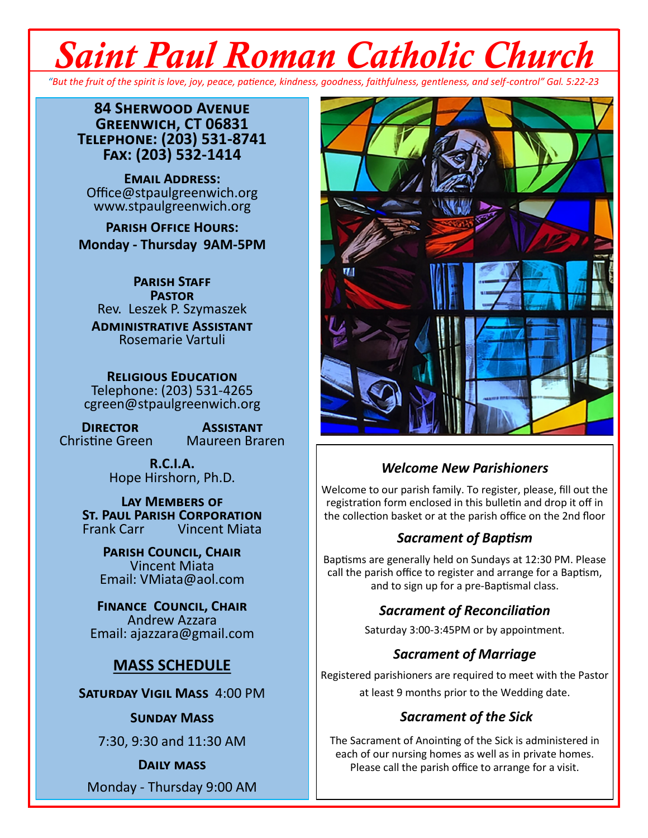# *Saint Paul Roman Catholic Church*

*"But the fruit of the spirit is love, joy, peace, patience, kindness, goodness, faithfulness, gentleness, and self-control" Gal. 5:22-23*

**84 Sherwood Avenue Greenwich, CT 06831 Telephone: (203) 531-8741 Fax: (203) 532-1414**

**Email Address:** Office@stpaulgreenwich.org www.stpaulgreenwich.org

**Parish Office Hours: Monday - Thursday 9AM-5PM**

**Parish Staff Pastor** Rev. Leszek P. Szymaszek

**Administrative Assistant** Rosemarie Vartuli

**Religious Education** Telephone: (203) 531-4265 cgreen@stpaulgreenwich.org

Christine Green

**DIRECTOR ASSISTANT**<br> **Consumersity Assistant**<br> **Absolute Assistant** 

**R.C.I.A.** Hope Hirshorn, Ph.D.

**Lay Members of ST. PAUL PARISH CORPORATION**<br>Frank Carr **Vincent Miata** Vincent Miata

**Parish Council, Chair** Vincent Miata Email: VMiata@aol.com

**Finance Council, Chair** Andrew Azzara Email: ajazzara@gmail.com

#### **MASS SCHEDULE**

**Saturday Vigil Mass** 4:00 PM

#### **Sunday Mass**

7:30, 9:30 and 11:30 AM

#### **Daily mass**

Monday - Thursday 9:00 AM



#### *Welcome New Parishioners*

Welcome to our parish family. To register, please, fill out the registration form enclosed in this bulletin and drop it off in the collection basket or at the parish office on the 2nd floor

#### *Sacrament of Baptism*

Baptisms are generally held on Sundays at 12:30 PM. Please call the parish office to register and arrange for a Baptism, and to sign up for a pre-Baptismal class.

#### *Sacrament of Reconciliation*

Saturday 3:00-3:45PM or by appointment.

#### *Sacrament of Marriage*

Registered parishioners are required to meet with the Pastor at least 9 months prior to the Wedding date.

#### *Sacrament of the Sick*

The Sacrament of Anointing of the Sick is administered in each of our nursing homes as well as in private homes. Please call the parish office to arrange for a visit.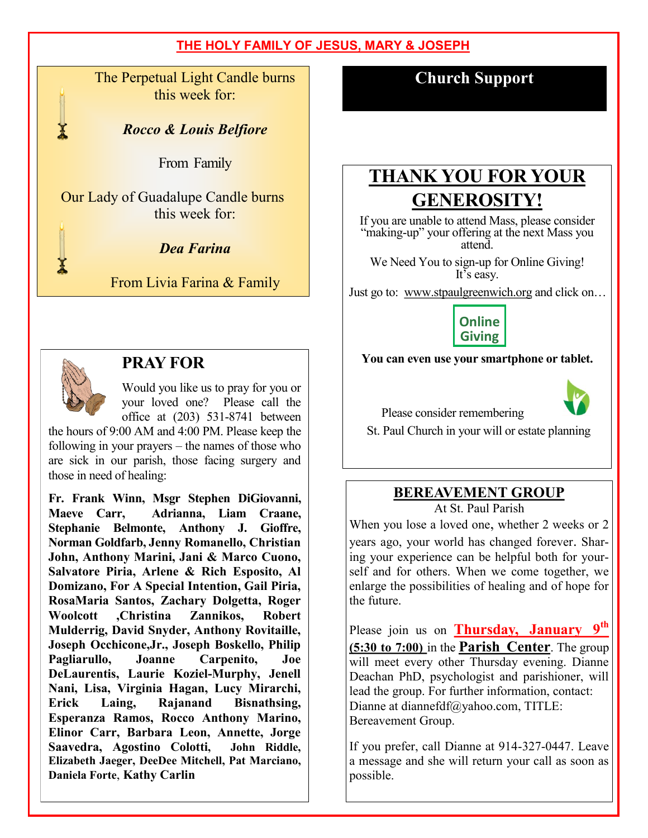The Perpetual Light Candle burns this week for:

*Rocco & Louis Belfiore*

From Family

Our Lady of Guadalupe Candle burns this week for:

*Dea Farina*

From Livia Farina & Family



#### **PRAY FOR**

Would you like us to pray for you or your loved one? Please call the office at (203) 531-8741 between

the hours of 9:00 AM and 4:00 PM. Please keep the following in your prayers – the names of those who are sick in our parish, those facing surgery and those in need of healing:

**Fr. Frank Winn, Msgr Stephen DiGiovanni, Maeve Carr, Adrianna, Liam Craane, Stephanie Belmonte, Anthony J. Gioffre, Norman Goldfarb, Jenny Romanello, Christian John, Anthony Marini, Jani & Marco Cuono, Salvatore Piria, Arlene & Rich Esposito, Al Domizano, For A Special Intention, Gail Piria, RosaMaria Santos, Zachary Dolgetta, Roger Woolcott ,Christina Zannikos, Robert Mulderrig, David Snyder, Anthony Rovitaille, Joseph Occhicone,Jr., Joseph Boskello, Philip Pagliarullo, Joanne Carpenito, Joe DeLaurentis, Laurie Koziel-Murphy, Jenell Nani, Lisa, Virginia Hagan, Lucy Mirarchi, Erick Laing, Rajanand Bisnathsing, Esperanza Ramos, Rocco Anthony Marino, Elinor Carr, Barbara Leon, Annette, Jorge Saavedra, Agostino Colotti, John Riddle, Elizabeth Jaeger, DeeDee Mitchell, Pat Marciano, Daniela Forte**, **Kathy Carlin**

**Church Support**

# **THANK YOU FOR YOUR GENEROSITY!**

If you are unable to attend Mass, please consider "making-up" your offering at the next Mass you attend.

We Need You to sign-up for Online Giving! It's easy.

Just go to: www.stpaulgreenwich.org and click on…

**Online Giving**

**You can even use your smartphone or tablet.**



Please consider remembering



# **BEREAVEMENT GROUP**

At St. Paul Parish

When you lose a loved one, whether 2 weeks or 2 years ago, your world has changed forever. Sharing your experience can be helpful both for yourself and for others. When we come together, we enlarge the possibilities of healing and of hope for the future.

Please join us on **Thursday, January 9th (5:30 to 7:00)** in the **Parish Center**. The group will meet every other Thursday evening. Dianne Deachan PhD, psychologist and parishioner, will lead the group. For further information, contact: Dianne at diannefdf@yahoo.com, TITLE: Bereavement Group.

If you prefer, call Dianne at 914-327-0447. Leave a message and she will return your call as soon as possible.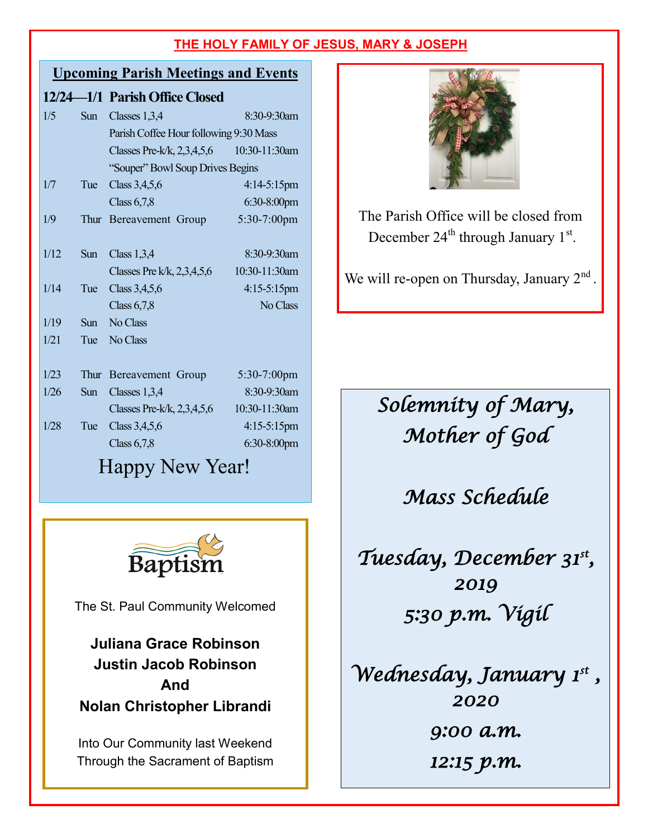#### **Upcoming Parish Meetings and Events**

|      |            | 12/24—1/1 Parish Office Closed         |                |  |
|------|------------|----------------------------------------|----------------|--|
| 1/5  | Sun        | Classes 1,3,4                          | 8:30-9:30am    |  |
|      |            | Parish Coffee Hour following 9:30 Mass |                |  |
|      |            | Classes Pre-k/k, $2,3,4,5,6$           | 10:30-11:30am  |  |
|      |            | "Souper" Bowl Soup Drives Begins       |                |  |
| 1/7  | Tue        | Class 3,4,5,6                          | 4:14-5:15pm    |  |
|      |            | Class $6,7,8$                          | $6:30-8:00$ pm |  |
| 1/9  | Thur       | Bereavement Group                      | 5:30-7:00pm    |  |
|      |            |                                        |                |  |
| 1/12 | Sun        | Class $1,3,4$                          | 8:30-9:30am    |  |
|      |            | Classes Pre k/k, $2,3,4,5,6$           | 10:30-11:30am  |  |
| 1/14 | Tue        | Class 3,4,5,6                          | $4:15-5:15$ pm |  |
|      |            | Class $6,7,8$                          | No Class       |  |
| 1/19 | <b>Sun</b> | No Class                               |                |  |
| 1/21 | Tue        | No Class                               |                |  |
|      |            |                                        |                |  |
| 1/23 | Thur       | Bereavement Group                      | 5:30-7:00pm    |  |
| 1/26 | <b>Sun</b> | Classes 1,3,4                          | 8:30-9:30am    |  |
|      |            | Classes Pre-k/k, $2,3,4,5,6$           | 10:30-11:30am  |  |
| 1/28 | Tue        | Class $3,4,5,6$                        | $4:15-5:15$ pm |  |
|      |            | Class $6,7,8$                          | $6:30-8:00$ pm |  |

Happy New Year!



The St. Paul Community Welcomed

**Juliana Grace Robinson Justin Jacob Robinson And Nolan Christopher Librandi**

Into Our Community last Weekend Through the Sacrament of Baptism



The Parish Office will be closed from December  $24<sup>th</sup>$  through January  $1<sup>st</sup>$ .

We will re-open on Thursday, January  $2<sup>nd</sup>$ .

*Solemnity of Mary, Mother of God* 

*Mass Schedule* 

*Tuesday, December 31st , 2019 5:30 p.m. Vigil* 

*Wednesday, January 1st , 2020 9:00 a.m. 12:15 p.m.*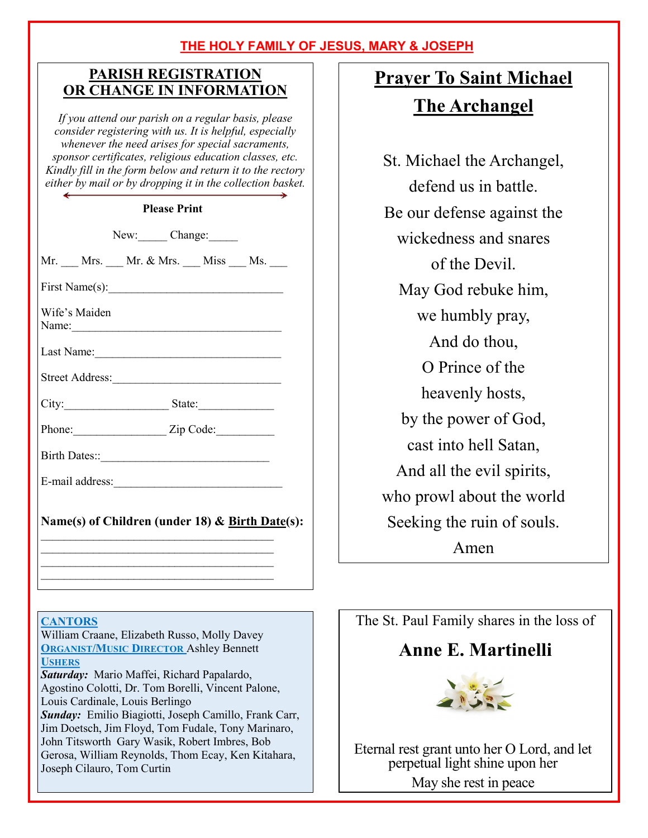#### **PARISH REGISTRATION OR CHANGE IN INFORMATION**

*If you attend our parish on a regular basis, please consider registering with us. It is helpful, especially whenever the need arises for special sacraments, sponsor certificates, religious education classes, etc. Kindly fill in the form below and return it to the rectory either by mail or by dropping it in the collection basket.*

#### **Please Print**

New: Change:

Mr. Mrs.  $Mr. & Mr. & Mrs.$  Miss Ms.

First Name(s):  $\qquad \qquad \qquad$ 

Wife's Maiden Name:\_\_\_\_\_\_\_\_\_\_\_\_\_\_\_\_\_\_\_\_\_\_\_\_\_\_\_\_\_\_\_\_\_\_\_\_

Last Name:

Street Address:

City:\_\_\_\_\_\_\_\_\_\_\_\_\_\_\_\_\_\_ State:\_\_\_\_\_\_\_\_\_\_\_\_\_

Phone:\_\_\_\_\_\_\_\_\_\_\_\_\_\_\_\_ Zip Code:\_\_\_\_\_\_\_\_\_\_

Birth Dates::\_\_\_\_\_\_\_\_\_\_\_\_\_\_\_\_\_\_\_\_\_\_\_\_\_\_\_\_\_

E-mail address:\_\_\_\_\_\_\_\_\_\_\_\_\_\_\_\_\_\_\_\_\_\_\_\_\_\_\_\_\_

#### **Name(s) of Children (under 18) & Birth Date(s):**  $\mathcal{L}_\text{max}$

 $\mathcal{L}_\text{max}$  $\mathcal{L}_\text{max}$  , where  $\mathcal{L}_\text{max}$  and  $\mathcal{L}_\text{max}$  and  $\mathcal{L}_\text{max}$  $\mathcal{L}_\text{max}$ 

#### **CANTORS**

William Craane, Elizabeth Russo, Molly Davey **ORGANIST/MUSIC DIRECTOR** Ashley Bennett **USHERS**

*Saturday:* Mario Maffei, Richard Papalardo, Agostino Colotti, Dr. Tom Borelli, Vincent Palone, Louis Cardinale, Louis Berlingo *Sunday:* Emilio Biagiotti, Joseph Camillo, Frank Carr, Jim Doetsch, Jim Floyd, Tom Fudale, Tony Marinaro, John Titsworth Gary Wasik, Robert Imbres, Bob Gerosa, William Reynolds, Thom Ecay, Ken Kitahara, Joseph Cilauro, Tom Curtin

# **Prayer To Saint Michael The Archangel**

St. Michael the Archangel, defend us in battle. Be our defense against the wickedness and snares of the Devil. May God rebuke him, we humbly pray, And do thou, O Prince of the heavenly hosts, by the power of God, cast into hell Satan, And all the evil spirits, who prowl about the world Seeking the ruin of souls. Amen

The St. Paul Family shares in the loss of

## **Anne E. Martinelli**



Eternal rest grant unto her O Lord, and let perpetual light shine upon her May she rest in peace